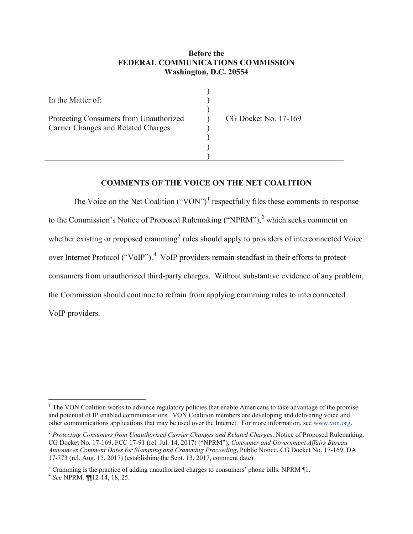## **Before the FEDERAL COMMUNICATIONS COMMISSION Washington, D.C. 20554**

| In the Matter of:                                                                    |                      |
|--------------------------------------------------------------------------------------|----------------------|
| Protecting Consumers from Unauthorized<br><b>Carrier Changes and Related Charges</b> | CG Docket No. 17-169 |
|                                                                                      |                      |

# **COMMENTS OF THE VOICE ON THE NET COALITION**

The Voice on the Net Coalition  $("VON")^1$  $("VON")^1$  respectfully files these comments in response to the Commission's Notice of Proposed Rulemaking ("NPRM"), [2](#page-0-1) which seeks comment on whether existing or proposed cramming<sup>[3](#page-0-2)</sup> rules should apply to providers of interconnected Voice over Internet Protocol ("VoIP").<sup>[4](#page-0-3)</sup> VoIP providers remain steadfast in their efforts to protect consumers from unauthorized third-party charges. Without substantive evidence of any problem, the Commission should continue to refrain from applying cramming rules to interconnected VoIP providers.

<span id="page-0-0"></span> $<sup>1</sup>$  The VON Coalition works to advance regulatory policies that enable Americans to take advantage of the promise</sup> and potential of IP enabled communications. VON Coalition members are developing and delivering voice and other communications applications that may be used over the Internet. For more information, see [www.von.org.](http://www.von.org/)

<span id="page-0-1"></span><sup>2</sup> *Protecting Consumers from Unauthorized Carrier Changes and Related Charges*, Notice of Proposed Rulemaking, CG Docket No. 17-169, FCC 17-91 (rel. Jul. 14, 2017) ("NPRM"); *Consumer and Government Affairs Bureau Announces Comment Dates for Slamming and Cramming Proceeding*, Public Notice, CG Docket No. 17-169, DA 17-773 (rel. Aug. 15, 2017) (establishing the Sept. 13, 2017, comment date).

<span id="page-0-2"></span><sup>3</sup> Cramming is the practice of adding unauthorized charges to consumers' phone bills. NPRM ¶1. <sup>4</sup> *See* NPRM*.* ¶¶12-14, 18, 25.

<span id="page-0-3"></span>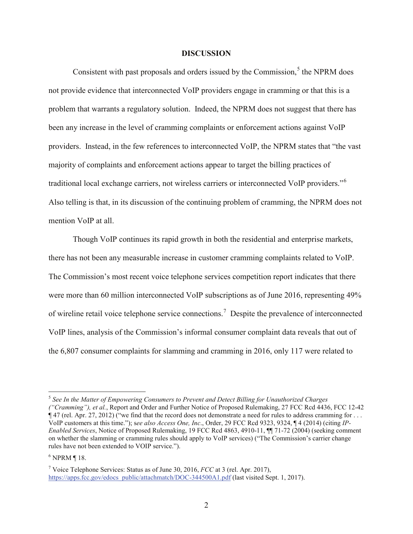#### **DISCUSSION**

Consistent with past proposals and orders issued by the Commission, $<sup>5</sup>$  $<sup>5</sup>$  $<sup>5</sup>$  the NPRM does</sup> not provide evidence that interconnected VoIP providers engage in cramming or that this is a problem that warrants a regulatory solution. Indeed, the NPRM does not suggest that there has been any increase in the level of cramming complaints or enforcement actions against VoIP providers. Instead, in the few references to interconnected VoIP, the NPRM states that "the vast majority of complaints and enforcement actions appear to target the billing practices of traditional local exchange carriers, not wireless carriers or interconnected VoIP providers."<sup>[6](#page-1-1)</sup> Also telling is that, in its discussion of the continuing problem of cramming, the NPRM does not mention VoIP at all.

Though VoIP continues its rapid growth in both the residential and enterprise markets, there has not been any measurable increase in customer cramming complaints related to VoIP. The Commission's most recent voice telephone services competition report indicates that there were more than 60 million interconnected VoIP subscriptions as of June 2016, representing 49% of wireline retail voice telephone service connections.<sup>[7](#page-1-2)</sup> Despite the prevalence of interconnected VoIP lines, analysis of the Commission's informal consumer complaint data reveals that out of the 6,807 consumer complaints for slamming and cramming in 2016, only 117 were related to

<span id="page-1-0"></span> <sup>5</sup> *See In the Matter of Empowering Consumers to Prevent and Detect Billing for Unauthorized Charges ("Cramming"), et al.*, Report and Order and Further Notice of Proposed Rulemaking, 27 FCC Rcd 4436, FCC 12-42 ¶ 47 (rel. Apr. 27, 2012) ("we find that the record does not demonstrate a need for rules to address cramming for . . . VoIP customers at this time."); s*ee also Access One, Inc*., Order, 29 FCC Rcd 9323, 9324, ¶ 4 (2014) (citing *IP-Enabled Services*, Notice of Proposed Rulemaking, 19 FCC Rcd 4863, 4910-11,  $\P$  71-72 (2004) (seeking comment on whether the slamming or cramming rules should apply to VoIP services) ("The Commission's carrier change rules have not been extended to VOIP service.").

<span id="page-1-1"></span> $6$  NPRM ¶ 18.

<span id="page-1-2"></span><sup>7</sup> Voice Telephone Services: Status as of June 30, 2016, *FCC* at 3 (rel. Apr. 2017), [https://apps.fcc.gov/edocs\\_public/attachmatch/DOC-344500A1.pdf](https://apps.fcc.gov/edocs_public/attachmatch/DOC-344500A1.pdf) (last visited Sept. 1, 2017).